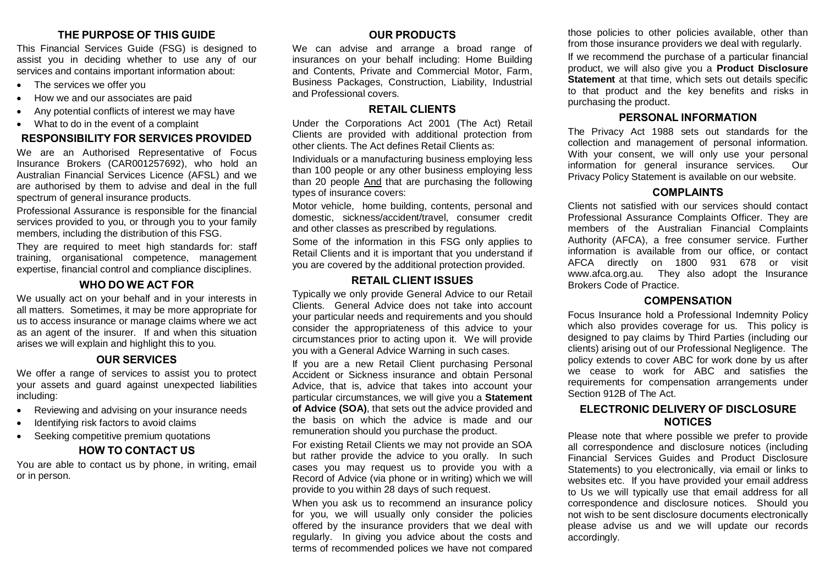# **THE PURPOSE OF THIS GUIDE**

This Financial Services Guide (FSG) is designed to assist you in deciding whether to use any of our services and contains important information about:

- The services we offer you
- How we and our associates are paid
- Any potential conflicts of interest we may have
- What to do in the event of a complaint

# **RESPONSIBILITY FOR SERVICES PROVIDED**

We are an Authorised Representative of Focus Insurance Brokers (CAR001257692), who hold an Australian Financial Services Licence (AFSL) and we are authorised by them to advise and deal in the full spectrum of general insurance products.

Professional Assurance is responsible for the financial services provided to you, or through you to your family members, including the distribution of this FSG.

They are required to meet high standards for: staff training, organisational competence, management expertise, financial control and compliance disciplines.

# **WHO DO WE ACT FOR**

We usually act on your behalf and in your interests in all matters. Sometimes, it may be more appropriate for us to access insurance or manage claims where we act as an agent of the insurer. If and when this situation arises we will explain and highlight this to you.

# **OUR SERVICES**

We offer a range of services to assist you to protect your assets and guard against unexpected liabilities including:

- Reviewing and advising on your insurance needs
- Identifying risk factors to avoid claims
- Seeking competitive premium quotations

# **HOW TO CONTACT US**

You are able to contact us by phone, in writing, email or in person.

# **OUR PRODUCTS**

We can advise and arrange a broad range of insurances on your behalf including: Home Building and Contents, Private and Commercial Motor, Farm, Business Packages, Construction, Liability, Industrial and Professional covers.

#### **RETAIL CLIENTS**

Under the Corporations Act 2001 (The Act) Retail Clients are provided with additional protection from other clients. The Act defines Retail Clients as:

Individuals or a manufacturing business employing less than 100 people or any other business employing less than 20 people And that are purchasing the following types of insurance covers:

Motor vehicle, home building, contents, personal and domestic, sickness/accident/travel, consumer credit and other classes as prescribed by regulations.

Some of the information in this FSG only applies to Retail Clients and it is important that you understand if you are covered by the additional protection provided.

## **RETAIL CLIENT ISSUES**

Typically we only provide General Advice to our Retail Clients. General Advice does not take into account your particular needs and requirements and you should consider the appropriateness of this advice to your circumstances prior to acting upon it. We will provide you with a General Advice Warning in such cases.

If you are a new Retail Client purchasing Personal Accident or Sickness insurance and obtain Personal Advice, that is, advice that takes into account your particular circumstances, we will give you a **Statement of Advice (SOA)**, that sets out the advice provided and the basis on which the advice is made and our remuneration should you purchase the product.

For existing Retail Clients we may not provide an SOA but rather provide the advice to you orally. In such cases you may request us to provide you with a Record of Advice (via phone or in writing) which we will provide to you within 28 days of such request.

When you ask us to recommend an insurance policy for you, we will usually only consider the policies offered by the insurance providers that we deal with regularly. In giving you advice about the costs and terms of recommended polices we have not compared those policies to other policies available, other than from those insurance providers we deal with regularly.

If we recommend the purchase of a particular financial product, we will also give you a **Product Disclosure Statement** at that time, which sets out details specific to that product and the key benefits and risks in purchasing the product.

# **PERSONAL INFORMATION**

The Privacy Act 1988 sets out standards for the collection and management of personal information. With your consent, we will only use your personal information for general insurance services. Our Privacy Policy Statement is available on our website.

#### **COMPLAINTS**

Clients not satisfied with our services should contact Professional Assurance Complaints Officer. They are members of the Australian Financial Complaints Authority (AFCA), a free consumer service. Further information is available from our office, or contact AFCA directly on 1800 931 678 or visit www.afca.org.au. They also adopt the Insurance Brokers Code of Practice.

#### **COMPENSATION**

Focus Insurance hold a Professional Indemnity Policy which also provides coverage for us. This policy is designed to pay claims by Third Parties (including our clients) arising out of our Professional Negligence. The policy extends to cover ABC for work done by us after we cease to work for ABC and satisfies the requirements for compensation arrangements under Section 912B of The Act.

# **ELECTRONIC DELIVERY OF DISCLOSURE NOTICES**

Please note that where possible we prefer to provide all correspondence and disclosure notices (including Financial Services Guides and Product Disclosure Statements) to you electronically, via email or links to websites etc. If you have provided your email address to Us we will typically use that email address for all correspondence and disclosure notices. Should you not wish to be sent disclosure documents electronically please advise us and we will update our records accordingly.